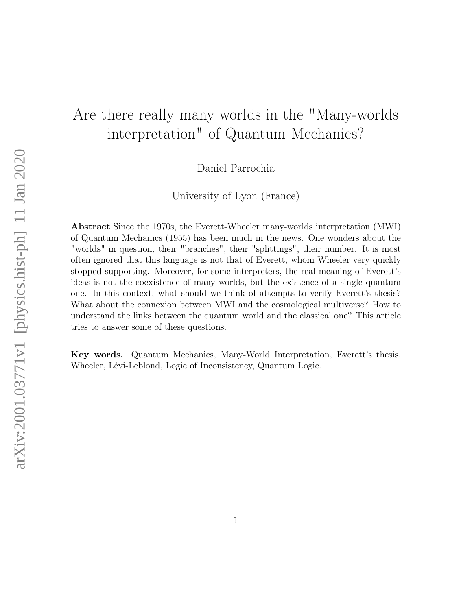# Are there really many worlds in the "Many-worlds interpretation" of Quantum Mechanics?

Daniel Parrochia

University of Lyon (France)

Abstract Since the 1970s, the Everett-Wheeler many-worlds interpretation (MWI) of Quantum Mechanics (1955) has been much in the news. One wonders about the "worlds" in question, their "branches", their "splittings", their number. It is most often ignored that this language is not that of Everett, whom Wheeler very quickly stopped supporting. Moreover, for some interpreters, the real meaning of Everett's ideas is not the coexistence of many worlds, but the existence of a single quantum one. In this context, what should we think of attempts to verify Everett's thesis? What about the connexion between MWI and the cosmological multiverse? How to understand the links between the quantum world and the classical one? This article tries to answer some of these questions.

Key words. Quantum Mechanics, Many-World Interpretation, Everett's thesis, Wheeler, Lévi-Leblond, Logic of Inconsistency, Quantum Logic.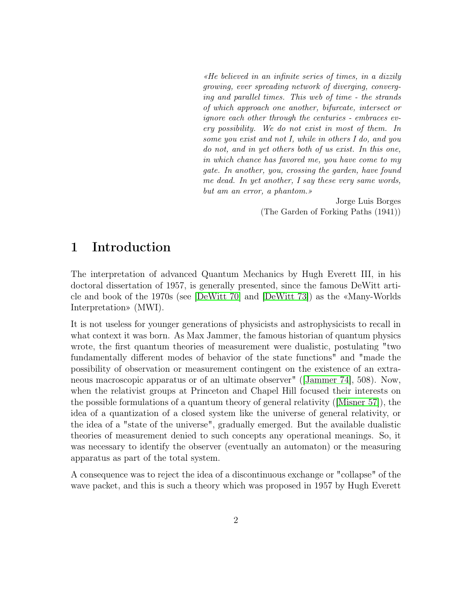«He believed in an infinite series of times, in a dizzily growing, ever spreading network of diverging, converging and parallel times. This web of time - the strands of which approach one another, bifurcate, intersect or ignore each other through the centuries - embraces every possibility. We do not exist in most of them. In some you exist and not I, while in others I do, and you do not, and in yet others both of us exist. In this one, in which chance has favored me, you have come to my gate. In another, you, crossing the garden, have found me dead. In yet another, I say these very same words, but am an error, a phantom.»

> Jorge Luis Borges (The Garden of Forking Paths (1941))

## 1 Introduction

The interpretation of advanced Quantum Mechanics by Hugh Everett III, in his doctoral dissertation of 1957, is generally presented, since the famous DeWitt article and book of the 1970s (see [\[DeWitt 70\]](#page-29-0) and [\[DeWitt 73\]](#page-29-1)) as the «Many-Worlds Interpretation» (MWI).

It is not useless for younger generations of physicists and astrophysicists to recall in what context it was born. As Max Jammer, the famous historian of quantum physics wrote, the first quantum theories of measurement were dualistic, postulating "two fundamentally different modes of behavior of the state functions" and "made the possibility of observation or measurement contingent on the existence of an extraneous macroscopic apparatus or of an ultimate observer" ([\[Jammer 74\]](#page-30-0), 508). Now, when the relativist groups at Princeton and Chapel Hill focused their interests on the possible formulations of a quantum theory of general relativity ([\[Misner 57\]](#page-30-1)), the idea of a quantization of a closed system like the universe of general relativity, or the idea of a "state of the universe", gradually emerged. But the available dualistic theories of measurement denied to such concepts any operational meanings. So, it was necessary to identify the observer (eventually an automaton) or the measuring apparatus as part of the total system.

A consequence was to reject the idea of a discontinuous exchange or "collapse" of the wave packet, and this is such a theory which was proposed in 1957 by Hugh Everett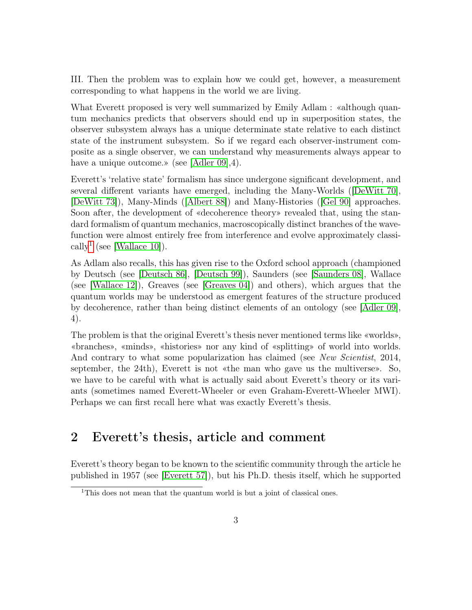III. Then the problem was to explain how we could get, however, a measurement corresponding to what happens in the world we are living.

What Everett proposed is very well summarized by Emily Adlam : «although quantum mechanics predicts that observers should end up in superposition states, the observer subsystem always has a unique determinate state relative to each distinct state of the instrument subsystem. So if we regard each observer-instrument composite as a single observer, we can understand why measurements always appear to have a unique outcome.» (see [\[Adler 09\]](#page-27-0), 4).

Everett's 'relative state' formalism has since undergone significant development, and several different variants have emerged, including the Many-Worlds ([\[DeWitt 70\]](#page-29-0), [\[DeWitt 73\]](#page-29-1)), Many-Minds ([\[Albert 88\]](#page-27-1)) and Many-Histories ([\[Gel 90\]](#page-29-2) approaches. Soon after, the development of «decoherence theory» revealed that, using the standard formalism of quantum mechanics, macroscopically distinct branches of the wavefunction were almost entirely free from interference and evolve approximately classi-cally<sup>[1](#page-2-0)</sup> (see [\[Wallace 10\]](#page-32-0)).

As Adlam also recalls, this has given rise to the Oxford school approach (championed by Deutsch (see [\[Deutsch 86\]](#page-29-3), [\[Deutsch 99\]](#page-29-4)), Saunders (see [\[Saunders 08\]](#page-31-0), Wallace (see [\[Wallace 12\]](#page-32-1)), Greaves (see [\[Greaves 04\]](#page-30-2)) and others), which argues that the quantum worlds may be understood as emergent features of the structure produced by decoherence, rather than being distinct elements of an ontology (see [\[Adler 09\]](#page-27-0), 4).

The problem is that the original Everett's thesis never mentioned terms like «worlds», «branches», «minds», «histories» nor any kind of «splitting» of world into worlds. And contrary to what some popularization has claimed (see New Scientist, 2014, september, the 24th), Everett is not «the man who gave us the multiverse». So, we have to be careful with what is actually said about Everett's theory or its variants (sometimes named Everett-Wheeler or even Graham-Everett-Wheeler MWI). Perhaps we can first recall here what was exactly Everett's thesis.

## 2 Everett's thesis, article and comment

Everett's theory began to be known to the scientific community through the article he published in 1957 (see [\[Everett 57\]](#page-29-5)), but his Ph.D. thesis itself, which he supported

<span id="page-2-0"></span><sup>&</sup>lt;sup>1</sup>This does not mean that the quantum world is but a joint of classical ones.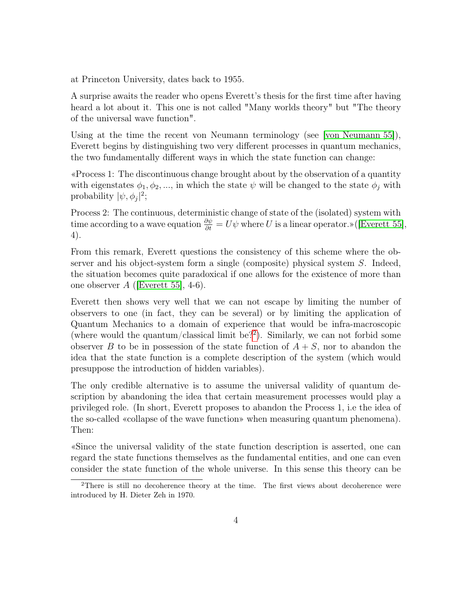at Princeton University, dates back to 1955.

A surprise awaits the reader who opens Everett's thesis for the first time after having heard a lot about it. This one is not called "Many worlds theory" but "The theory of the universal wave function".

Using at the time the recent von Neumann terminology (see [\[von Neumann 55\]](#page-30-3)), Everett begins by distinguishing two very different processes in quantum mechanics, the two fundamentally different ways in which the state function can change:

«Process 1: The discontinuous change brought about by the observation of a quantity with eigenstates  $\phi_1, \phi_2, ...,$  in which the state  $\psi$  will be changed to the state  $\phi_j$  with probability  $|\psi, \phi_j|^2$ ;

Process 2: The continuous, deterministic change of state of the (isolated) system with time according to a wave equation  $\frac{\partial \psi}{\partial t} = U\psi$  where U is a linear operator.»([\[Everett 55\]](#page-29-6), 4).

From this remark, Everett questions the consistency of this scheme where the observer and his object-system form a single (composite) physical system S. Indeed, the situation becomes quite paradoxical if one allows for the existence of more than one observer  $A$  ([\[Everett 55\]](#page-29-6), 4-6).

Everett then shows very well that we can not escape by limiting the number of observers to one (in fact, they can be several) or by limiting the application of Quantum Mechanics to a domain of experience that would be infra-macroscopic (where would the quantum/classical limit be?[2](#page-3-0) ). Similarly, we can not forbid some observer B to be in possession of the state function of  $A + S$ , nor to abandon the idea that the state function is a complete description of the system (which would presuppose the introduction of hidden variables).

The only credible alternative is to assume the universal validity of quantum description by abandoning the idea that certain measurement processes would play a privileged role. (In short, Everett proposes to abandon the Process 1, i.e the idea of the so-called «collapse of the wave function» when measuring quantum phenomena). Then:

«Since the universal validity of the state function description is asserted, one can regard the state functions themselves as the fundamental entities, and one can even consider the state function of the whole universe. In this sense this theory can be

<span id="page-3-0"></span><sup>&</sup>lt;sup>2</sup>There is still no decoherence theory at the time. The first views about decoherence were introduced by H. Dieter Zeh in 1970.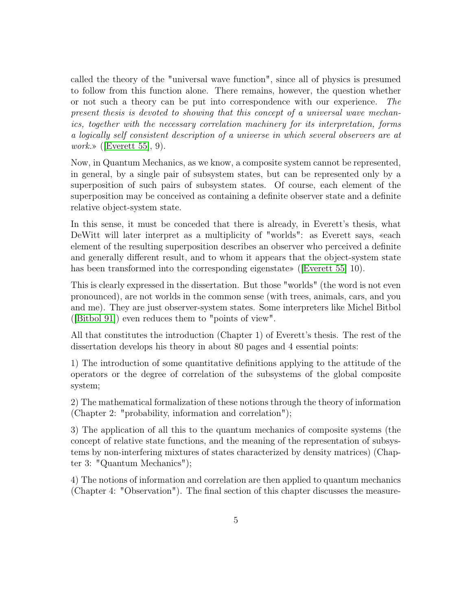called the theory of the "universal wave function", since all of physics is presumed to follow from this function alone. There remains, however, the question whether or not such a theory can be put into correspondence with our experience. The present thesis is devoted to showing that this concept of a universal wave mechanics, together with the necessary correlation machinery for its interpretation, forms a logically self consistent description of a universe in which several observers are at *work.*» ([\[Everett 55\]](#page-29-6), 9).

Now, in Quantum Mechanics, as we know, a composite system cannot be represented, in general, by a single pair of subsystem states, but can be represented only by a superposition of such pairs of subsystem states. Of course, each element of the superposition may be conceived as containing a definite observer state and a definite relative object-system state.

In this sense, it must be conceded that there is already, in Everett's thesis, what DeWitt will later interpret as a multiplicity of "worlds": as Everett says, «each element of the resulting superposition describes an observer who perceived a definite and generally different result, and to whom it appears that the object-system state has been transformed into the corresponding eigenstate» ([\[Everett 55\]](#page-29-6) 10).

This is clearly expressed in the dissertation. But those "worlds" (the word is not even pronounced), are not worlds in the common sense (with trees, animals, cars, and you and me). They are just observer-system states. Some interpreters like Michel Bitbol ([\[Bitbol 91\]](#page-28-0)) even reduces them to "points of view".

All that constitutes the introduction (Chapter 1) of Everett's thesis. The rest of the dissertation develops his theory in about 80 pages and 4 essential points:

1) The introduction of some quantitative definitions applying to the attitude of the operators or the degree of correlation of the subsystems of the global composite system;

2) The mathematical formalization of these notions through the theory of information (Chapter 2: "probability, information and correlation");

3) The application of all this to the quantum mechanics of composite systems (the concept of relative state functions, and the meaning of the representation of subsystems by non-interfering mixtures of states characterized by density matrices) (Chapter 3: "Quantum Mechanics");

4) The notions of information and correlation are then applied to quantum mechanics (Chapter 4: "Observation"). The final section of this chapter discusses the measure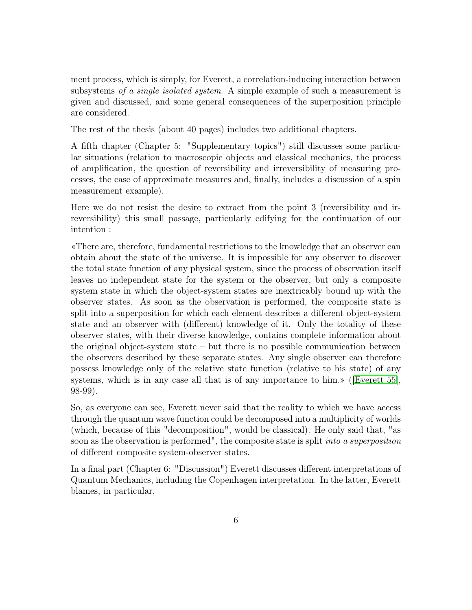ment process, which is simply, for Everett, a correlation-inducing interaction between subsystems of a single isolated system. A simple example of such a measurement is given and discussed, and some general consequences of the superposition principle are considered.

The rest of the thesis (about 40 pages) includes two additional chapters.

A fifth chapter (Chapter 5: "Supplementary topics") still discusses some particular situations (relation to macroscopic objects and classical mechanics, the process of amplification, the question of reversibility and irreversibility of measuring processes, the case of approximate measures and, finally, includes a discussion of a spin measurement example).

Here we do not resist the desire to extract from the point 3 (reversibility and irreversibility) this small passage, particularly edifying for the continuation of our intention :

«There are, therefore, fundamental restrictions to the knowledge that an observer can obtain about the state of the universe. It is impossible for any observer to discover the total state function of any physical system, since the process of observation itself leaves no independent state for the system or the observer, but only a composite system state in which the object-system states are inextricably bound up with the observer states. As soon as the observation is performed, the composite state is split into a superposition for which each element describes a different object-system state and an observer with (different) knowledge of it. Only the totality of these observer states, with their diverse knowledge, contains complete information about the original object-system state – but there is no possible communication between the observers described by these separate states. Any single observer can therefore possess knowledge only of the relative state function (relative to his state) of any systems, which is in any case all that is of any importance to him.» ([\[Everett 55\]](#page-29-6), 98-99).

So, as everyone can see, Everett never said that the reality to which we have access through the quantum wave function could be decomposed into a multiplicity of worlds (which, because of this "decomposition", would be classical). He only said that, "as soon as the observation is performed", the composite state is split *into a superposition* of different composite system-observer states.

In a final part (Chapter 6: "Discussion") Everett discusses different interpretations of Quantum Mechanics, including the Copenhagen interpretation. In the latter, Everett blames, in particular,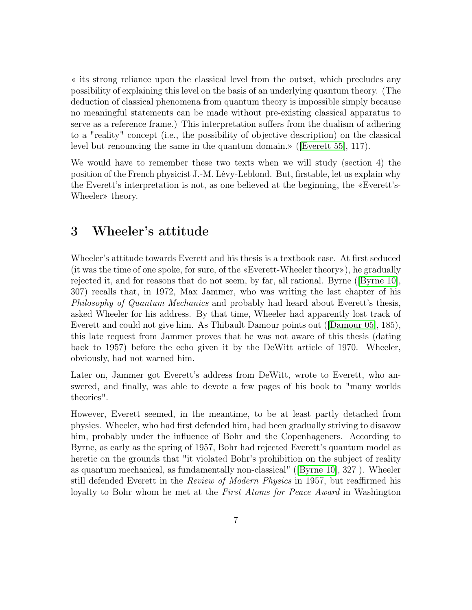« its strong reliance upon the classical level from the outset, which precludes any possibility of explaining this level on the basis of an underlying quantum theory. (The deduction of classical phenomena from quantum theory is impossible simply because no meaningful statements can be made without pre-existing classical apparatus to serve as a reference frame.) This interpretation suffers from the dualism of adhering to a "reality" concept (i.e., the possibility of objective description) on the classical level but renouncing the same in the quantum domain.» ([\[Everett 55\]](#page-29-6), 117).

We would have to remember these two texts when we will study (section 4) the position of the French physicist J.-M. Lévy-Leblond. But, firstable, let us explain why the Everett's interpretation is not, as one believed at the beginning, the «Everett's-Wheeler» theory.

## 3 Wheeler's attitude

Wheeler's attitude towards Everett and his thesis is a textbook case. At first seduced (it was the time of one spoke, for sure, of the «Everett-Wheeler theory»), he gradually rejected it, and for reasons that do not seem, by far, all rational. Byrne ([\[Byrne 10\]](#page-28-1), 307) recalls that, in 1972, Max Jammer, who was writing the last chapter of his Philosophy of Quantum Mechanics and probably had heard about Everett's thesis, asked Wheeler for his address. By that time, Wheeler had apparently lost track of Everett and could not give him. As Thibault Damour points out ([\[Damour 05\]](#page-29-7), 185), this late request from Jammer proves that he was not aware of this thesis (dating back to 1957) before the echo given it by the DeWitt article of 1970. Wheeler, obviously, had not warned him.

Later on, Jammer got Everett's address from DeWitt, wrote to Everett, who answered, and finally, was able to devote a few pages of his book to "many worlds theories".

However, Everett seemed, in the meantime, to be at least partly detached from physics. Wheeler, who had first defended him, had been gradually striving to disavow him, probably under the influence of Bohr and the Copenhageners. According to Byrne, as early as the spring of 1957, Bohr had rejected Everett's quantum model as heretic on the grounds that "it violated Bohr's prohibition on the subject of reality as quantum mechanical, as fundamentally non-classical" ([\[Byrne 10\]](#page-28-1), 327 ). Wheeler still defended Everett in the Review of Modern Physics in 1957, but reaffirmed his loyalty to Bohr whom he met at the *First Atoms for Peace Award* in Washington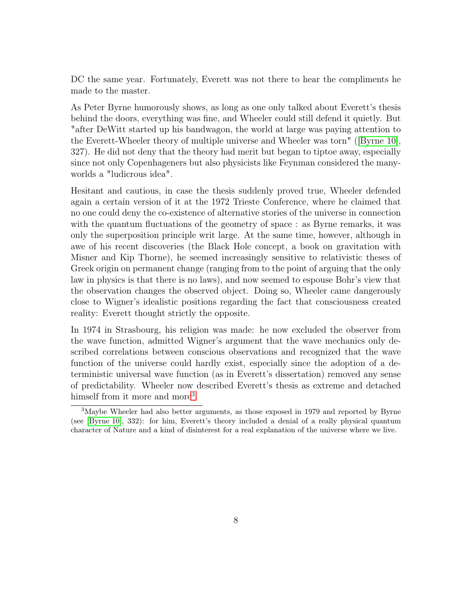DC the same year. Fortunately, Everett was not there to hear the compliments he made to the master.

As Peter Byrne humorously shows, as long as one only talked about Everett's thesis behind the doors, everything was fine, and Wheeler could still defend it quietly. But "after DeWitt started up his bandwagon, the world at large was paying attention to the Everett-Wheeler theory of multiple universe and Wheeler was torn" ([\[Byrne 10\]](#page-28-1), 327). He did not deny that the theory had merit but began to tiptoe away, especially since not only Copenhageners but also physicists like Feynman considered the manyworlds a "ludicrous idea".

Hesitant and cautious, in case the thesis suddenly proved true, Wheeler defended again a certain version of it at the 1972 Trieste Conference, where he claimed that no one could deny the co-existence of alternative stories of the universe in connection with the quantum fluctuations of the geometry of space : as Byrne remarks, it was only the superposition principle writ large. At the same time, however, although in awe of his recent discoveries (the Black Hole concept, a book on gravitation with Misner and Kip Thorne), he seemed increasingly sensitive to relativistic theses of Greek origin on permanent change (ranging from to the point of arguing that the only law in physics is that there is no laws), and now seemed to espouse Bohr's view that the observation changes the observed object. Doing so, Wheeler came dangerously close to Wigner's idealistic positions regarding the fact that consciousness created reality: Everett thought strictly the opposite.

In 1974 in Strasbourg, his religion was made: he now excluded the observer from the wave function, admitted Wigner's argument that the wave mechanics only described correlations between conscious observations and recognized that the wave function of the universe could hardly exist, especially since the adoption of a deterministic universal wave function (as in Everett's dissertation) removed any sense of predictability. Wheeler now described Everett's thesis as extreme and detached himself from it more and more<sup>[3](#page-7-0)</sup>.

<span id="page-7-0"></span><sup>&</sup>lt;sup>3</sup>Maybe Wheeler had also better arguments, as those exposed in 1979 and reported by Byrne (see [\[Byrne 10\]](#page-28-1), 332): for him, Everett's theory included a denial of a really physical quantum character of Nature and a kind of disinterest for a real explanation of the universe where we live.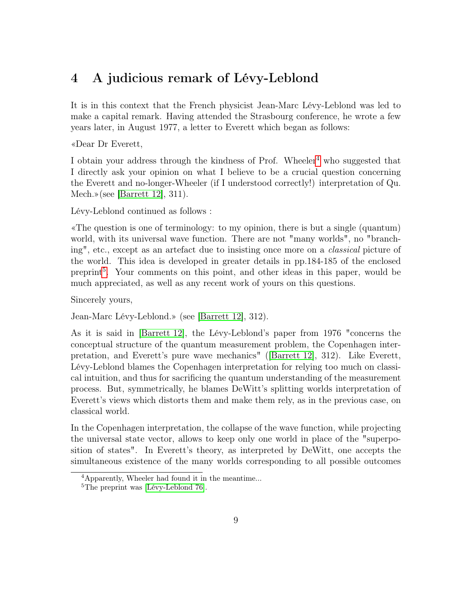## 4 A judicious remark of Lévy-Leblond

It is in this context that the French physicist Jean-Marc Lévy-Leblond was led to make a capital remark. Having attended the Strasbourg conference, he wrote a few years later, in August 1977, a letter to Everett which began as follows:

«Dear Dr Everett,

I obtain your address through the kindness of Prof. Wheeler<sup>[4](#page-8-0)</sup> who suggested that I directly ask your opinion on what I believe to be a crucial question concerning the Everett and no-longer-Wheeler (if I understood correctly!) interpretation of Qu. Mech.»(see [\[Barrett 12\]](#page-28-2), 311).

Lévy-Leblond continued as follows :

«The question is one of terminology: to my opinion, there is but a single (quantum) world, with its universal wave function. There are not "many worlds", no "branching", etc., except as an artefact due to insisting once more on a classical picture of the world. This idea is developed in greater details in pp.184-185 of the enclosed preprint<sup>[5](#page-8-1)</sup>. Your comments on this point, and other ideas in this paper, would be much appreciated, as well as any recent work of yours on this questions.

Sincerely yours,

Jean-Marc Lévy-Leblond.» (see [\[Barrett 12\]](#page-28-2), 312).

As it is said in [\[Barrett 12\]](#page-28-2), the Lévy-Leblond's paper from 1976 "concerns the conceptual structure of the quantum measurement problem, the Copenhagen interpretation, and Everett's pure wave mechanics" ([\[Barrett 12\]](#page-28-2), 312). Like Everett, Lévy-Leblond blames the Copenhagen interpretation for relying too much on classical intuition, and thus for sacrificing the quantum understanding of the measurement process. But, symmetrically, he blames DeWitt's splitting worlds interpretation of Everett's views which distorts them and make them rely, as in the previous case, on classical world.

In the Copenhagen interpretation, the collapse of the wave function, while projecting the universal state vector, allows to keep only one world in place of the "superposition of states". In Everett's theory, as interpreted by DeWitt, one accepts the simultaneous existence of the many worlds corresponding to all possible outcomes

<span id="page-8-0"></span><sup>4</sup>Apparently, Wheeler had found it in the meantime...

<span id="page-8-1"></span><sup>&</sup>lt;sup>5</sup>The preprint was [\[Lévy-Leblond 76\]](#page-30-4).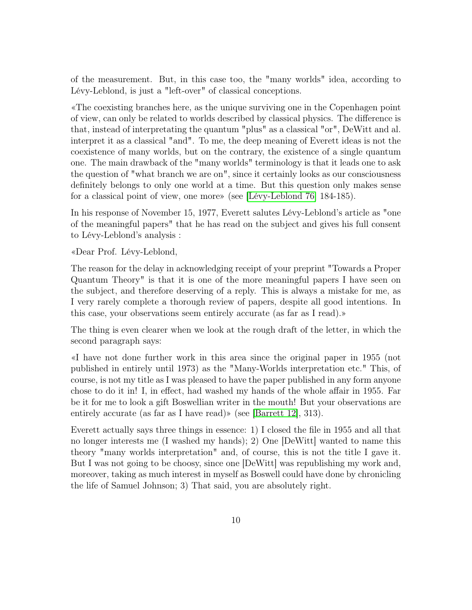of the measurement. But, in this case too, the "many worlds" idea, according to Lévy-Leblond, is just a "left-over" of classical conceptions.

«The coexisting branches here, as the unique surviving one in the Copenhagen point of view, can only be related to worlds described by classical physics. The difference is that, instead of interpretating the quantum "plus" as a classical "or", DeWitt and al. interpret it as a classical "and". To me, the deep meaning of Everett ideas is not the coexistence of many worlds, but on the contrary, the existence of a single quantum one. The main drawback of the "many worlds" terminology is that it leads one to ask the question of "what branch we are on", since it certainly looks as our consciousness definitely belongs to only one world at a time. But this question only makes sense for a classical point of view, one more» (see [\[Lévy-Leblond 76\]](#page-30-4) 184-185).

In his response of November 15, 1977, Everett salutes Lévy-Leblond's article as "one of the meaningful papers" that he has read on the subject and gives his full consent to Lévy-Leblond's analysis :

«Dear Prof. Lévy-Leblond,

The reason for the delay in acknowledging receipt of your preprint "Towards a Proper Quantum Theory" is that it is one of the more meaningful papers I have seen on the subject, and therefore deserving of a reply. This is always a mistake for me, as I very rarely complete a thorough review of papers, despite all good intentions. In this case, your observations seem entirely accurate (as far as I read).»

The thing is even clearer when we look at the rough draft of the letter, in which the second paragraph says:

«I have not done further work in this area since the original paper in 1955 (not published in entirely until 1973) as the "Many-Worlds interpretation etc." This, of course, is not my title as I was pleased to have the paper published in any form anyone chose to do it in! I, in effect, had washed my hands of the whole affair in 1955. Far be it for me to look a gift Boswellian writer in the mouth! But your observations are entirely accurate (as far as I have read)» (see [\[Barrett 12\]](#page-28-2), 313).

Everett actually says three things in essence: 1) I closed the file in 1955 and all that no longer interests me (I washed my hands); 2) One [DeWitt] wanted to name this theory "many worlds interpretation" and, of course, this is not the title I gave it. But I was not going to be choosy, since one [DeWitt] was republishing my work and, moreover, taking as much interest in myself as Boswell could have done by chronicling the life of Samuel Johnson; 3) That said, you are absolutely right.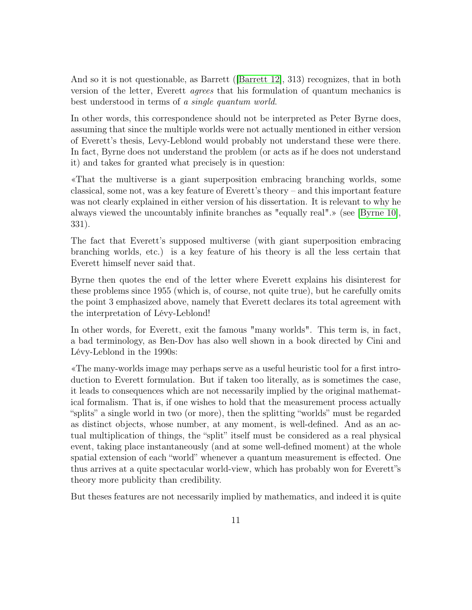And so it is not questionable, as Barrett ([\[Barrett 12\]](#page-28-2), 313) recognizes, that in both version of the letter, Everett agrees that his formulation of quantum mechanics is best understood in terms of a single quantum world.

In other words, this correspondence should not be interpreted as Peter Byrne does, assuming that since the multiple worlds were not actually mentioned in either version of Everett's thesis, Levy-Leblond would probably not understand these were there. In fact, Byrne does not understand the problem (or acts as if he does not understand it) and takes for granted what precisely is in question:

«That the multiverse is a giant superposition embracing branching worlds, some classical, some not, was a key feature of Everett's theory – and this important feature was not clearly explained in either version of his dissertation. It is relevant to why he always viewed the uncountably infinite branches as "equally real".» (see [\[Byrne 10\]](#page-28-1), 331).

The fact that Everett's supposed multiverse (with giant superposition embracing branching worlds, etc.) is a key feature of his theory is all the less certain that Everett himself never said that.

Byrne then quotes the end of the letter where Everett explains his disinterest for these problems since 1955 (which is, of course, not quite true), but he carefully omits the point 3 emphasized above, namely that Everett declares its total agreement with the interpretation of Lévy-Leblond!

In other words, for Everett, exit the famous "many worlds". This term is, in fact, a bad terminology, as Ben-Dov has also well shown in a book directed by Cini and Lévy-Leblond in the 1990s:

«The many-worlds image may perhaps serve as a useful heuristic tool for a first introduction to Everett formulation. But if taken too literally, as is sometimes the case, it leads to consequences which are not necessarily implied by the original mathematical formalism. That is, if one wishes to hold that the measurement process actually "splits" a single world in two (or more), then the splitting "worlds" must be regarded as distinct objects, whose number, at any moment, is well-defined. And as an actual multiplication of things, the "split" itself must be considered as a real physical event, taking place instantaneously (and at some well-defined moment) at the whole spatial extension of each "world" whenever a quantum measurement is effected. One thus arrives at a quite spectacular world-view, which has probably won for Everett"s theory more publicity than credibility.

But theses features are not necessarily implied by mathematics, and indeed it is quite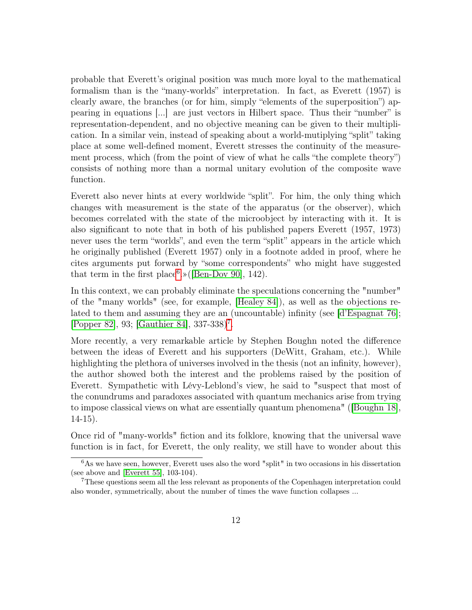probable that Everett's original position was much more loyal to the mathematical formalism than is the "many-worlds" interpretation. In fact, as Everett (1957) is clearly aware, the branches (or for him, simply "elements of the superposition") appearing in equations [...] are just vectors in Hilbert space. Thus their "number" is representation-dependent, and no objective meaning can be given to their multiplication. In a similar vein, instead of speaking about a world-mutiplying "split" taking place at some well-defined moment, Everett stresses the continuity of the measurement process, which (from the point of view of what he calls "the complete theory") consists of nothing more than a normal unitary evolution of the composite wave function.

Everett also never hints at every worldwide "split". For him, the only thing which changes with measurement is the state of the apparatus (or the observer), which becomes correlated with the state of the microobject by interacting with it. It is also significant to note that in both of his published papers Everett (1957, 1973) never uses the term "worlds", and even the term "split" appears in the article which he originally published (Everett 1957) only in a footnote added in proof, where he cites arguments put forward by "some correspondents" who might have suggested that term in the first place<sup>[6](#page-11-0)</sup>.» ([\[Ben-Dov 90\]](#page-28-3), 142).

In this context, we can probably eliminate the speculations concerning the "number" of the "many worlds" (see, for example, [\[Healey 84\]](#page-30-5)), as well as the objections related to them and assuming they are an (uncountable) infinity (see [\[d'Espagnat 76\]](#page-29-8); [\[Popper 82\]](#page-31-1), 93; [\[Gauthier 84\]](#page-29-9), 33[7](#page-11-1)-338)<sup>7</sup>.

More recently, a very remarkable article by Stephen Boughn noted the difference between the ideas of Everett and his supporters (DeWitt, Graham, etc.). While highlighting the plethora of universes involved in the thesis (not an infinity, however), the author showed both the interest and the problems raised by the position of Everett. Sympathetic with Lévy-Leblond's view, he said to "suspect that most of the conundrums and paradoxes associated with quantum mechanics arise from trying to impose classical views on what are essentially quantum phenomena" ([\[Boughn 18\]](#page-28-4), 14-15).

Once rid of "many-worlds" fiction and its folklore, knowing that the universal wave function is in fact, for Everett, the only reality, we still have to wonder about this

<span id="page-11-0"></span> $\overline{6\text{As we}}$  have seen, however, Everett uses also the word "split" in two occasions in his dissertation (see above and [\[Everett 55\]](#page-29-6), 103-104).

<span id="page-11-1"></span><sup>7</sup>These questions seem all the less relevant as proponents of the Copenhagen interpretation could also wonder, symmetrically, about the number of times the wave function collapses ...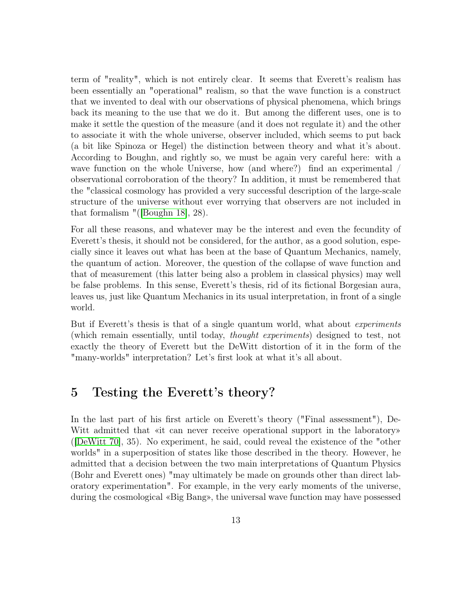term of "reality", which is not entirely clear. It seems that Everett's realism has been essentially an "operational" realism, so that the wave function is a construct that we invented to deal with our observations of physical phenomena, which brings back its meaning to the use that we do it. But among the different uses, one is to make it settle the question of the measure (and it does not regulate it) and the other to associate it with the whole universe, observer included, which seems to put back (a bit like Spinoza or Hegel) the distinction between theory and what it's about. According to Boughn, and rightly so, we must be again very careful here: with a wave function on the whole Universe, how (and where?) find an experimental / observational corroboration of the theory? In addition, it must be remembered that the "classical cosmology has provided a very successful description of the large-scale structure of the universe without ever worrying that observers are not included in that formalism "([\[Boughn 18\]](#page-28-4), 28).

For all these reasons, and whatever may be the interest and even the fecundity of Everett's thesis, it should not be considered, for the author, as a good solution, especially since it leaves out what has been at the base of Quantum Mechanics, namely, the quantum of action. Moreover, the question of the collapse of wave function and that of measurement (this latter being also a problem in classical physics) may well be false problems. In this sense, Everett's thesis, rid of its fictional Borgesian aura, leaves us, just like Quantum Mechanics in its usual interpretation, in front of a single world.

But if Everett's thesis is that of a single quantum world, what about *experiments* (which remain essentially, until today, thought experiments) designed to test, not exactly the theory of Everett but the DeWitt distortion of it in the form of the "many-worlds" interpretation? Let's first look at what it's all about.

## 5 Testing the Everett's theory?

In the last part of his first article on Everett's theory ("Final assessment"), De-Witt admitted that «it can never receive operational support in the laboratory» ([\[DeWitt 70\]](#page-29-0), 35). No experiment, he said, could reveal the existence of the "other worlds" in a superposition of states like those described in the theory. However, he admitted that a decision between the two main interpretations of Quantum Physics (Bohr and Everett ones) "may ultimately be made on grounds other than direct laboratory experimentation". For example, in the very early moments of the universe, during the cosmological «Big Bang», the universal wave function may have possessed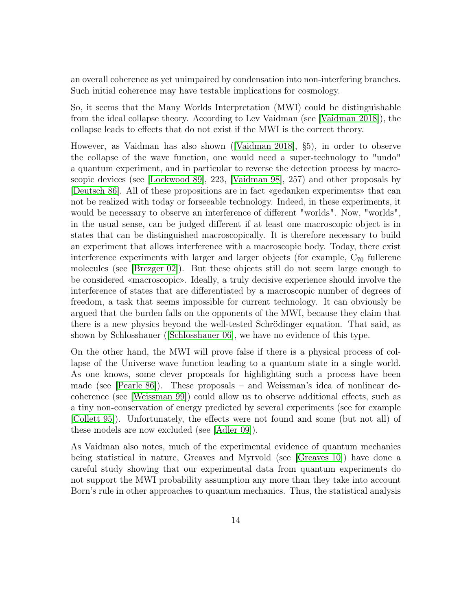an overall coherence as yet unimpaired by condensation into non-interfering branches. Such initial coherence may have testable implications for cosmology.

So, it seems that the Many Worlds Interpretation (MWI) could be distinguishable from the ideal collapse theory. According to Lev Vaidman (see [\[Vaidman 2018\]](#page-32-2)), the collapse leads to effects that do not exist if the MWI is the correct theory.

However, as Vaidman has also shown ([\[Vaidman 2018\]](#page-32-2), §5), in order to observe the collapse of the wave function, one would need a super-technology to "undo" a quantum experiment, and in particular to reverse the detection process by macroscopic devices (see [\[Lockwood 89\]](#page-30-6), 223, [\[Vaidman 98\]](#page-32-3), 257) and other proposals by [\[Deutsch 86\]](#page-29-3). All of these propositions are in fact «gedanken experiments» that can not be realized with today or forseeable technology. Indeed, in these experiments, it would be necessary to observe an interference of different "worlds". Now, "worlds", in the usual sense, can be judged different if at least one macroscopic object is in states that can be distinguished macroscopically. It is therefore necessary to build an experiment that allows interference with a macroscopic body. Today, there exist interference experiments with larger and larger objects (for example,  $C_{70}$  fullerene molecules (see [\[Brezger 02\]](#page-28-5)). But these objects still do not seem large enough to be considered «macroscopic». Ideally, a truly decisive experience should involve the interference of states that are differentiated by a macroscopic number of degrees of freedom, a task that seems impossible for current technology. It can obviously be argued that the burden falls on the opponents of the MWI, because they claim that there is a new physics beyond the well-tested Schrödinger equation. That said, as shown by Schlosshauer ([\[Schlosshauer 06\]](#page-31-2), we have no evidence of this type.

On the other hand, the MWI will prove false if there is a physical process of collapse of the Universe wave function leading to a quantum state in a single world. As one knows, some clever proposals for highlighting such a process have been made (see [\[Pearle 86\]](#page-31-3)). These proposals – and Weissman's idea of nonlinear decoherence (see [\[Weissman 99\]](#page-32-4)) could allow us to observe additional effects, such as a tiny non-conservation of energy predicted by several experiments (see for example [\[Collett 95\]](#page-28-6)). Unfortunately, the effects were not found and some (but not all) of these models are now excluded (see [\[Adler 09\]](#page-27-0)).

As Vaidman also notes, much of the experimental evidence of quantum mechanics being statistical in nature, Greaves and Myrvold (see [\[Greaves 10\]](#page-30-7)) have done a careful study showing that our experimental data from quantum experiments do not support the MWI probability assumption any more than they take into account Born's rule in other approaches to quantum mechanics. Thus, the statistical analysis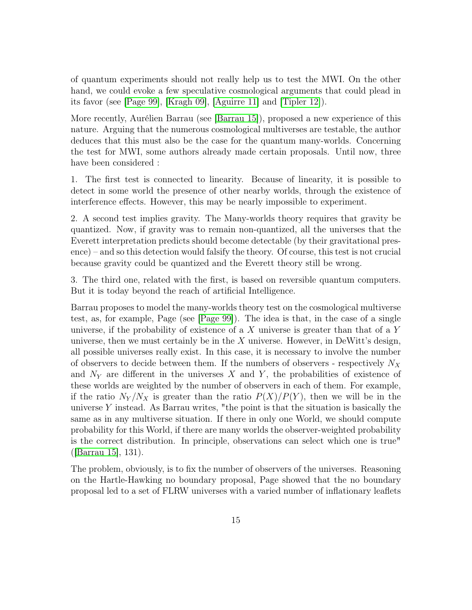of quantum experiments should not really help us to test the MWI. On the other hand, we could evoke a few speculative cosmological arguments that could plead in its favor (see [\[Page 99\]](#page-31-4), [\[Kragh 09\]](#page-30-8), [\[Aguirre 11\]](#page-27-2) and [\[Tipler 12\]](#page-31-5)).

More recently, Aurélien Barrau (see [\[Barrau 15\]](#page-28-7)), proposed a new experience of this nature. Arguing that the numerous cosmological multiverses are testable, the author deduces that this must also be the case for the quantum many-worlds. Concerning the test for MWI, some authors already made certain proposals. Until now, three have been considered :

1. The first test is connected to linearity. Because of linearity, it is possible to detect in some world the presence of other nearby worlds, through the existence of interference effects. However, this may be nearly impossible to experiment.

2. A second test implies gravity. The Many-worlds theory requires that gravity be quantized. Now, if gravity was to remain non-quantized, all the universes that the Everett interpretation predicts should become detectable (by their gravitational presence) – and so this detection would falsify the theory. Of course, this test is not crucial because gravity could be quantized and the Everett theory still be wrong.

3. The third one, related with the first, is based on reversible quantum computers. But it is today beyond the reach of artificial Intelligence.

Barrau proposes to model the many-worlds theory test on the cosmological multiverse test, as, for example, Page (see [\[Page 99\]](#page-31-4)). The idea is that, in the case of a single universe, if the probability of existence of a  $X$  universe is greater than that of a  $Y$ universe, then we must certainly be in the  $X$  universe. However, in DeWitt's design, all possible universes really exist. In this case, it is necessary to involve the number of observers to decide between them. If the numbers of observers - respectively  $N_X$ and  $N_Y$  are different in the universes X and Y, the probabilities of existence of these worlds are weighted by the number of observers in each of them. For example, if the ratio  $N_Y/N_X$  is greater than the ratio  $P(X)/P(Y)$ , then we will be in the universe  $Y$  instead. As Barrau writes, "the point is that the situation is basically the same as in any multiverse situation. If there in only one World, we should compute probability for this World, if there are many worlds the observer-weighted probability is the correct distribution. In principle, observations can select which one is true" ([\[Barrau 15\]](#page-28-7), 131).

The problem, obviously, is to fix the number of observers of the universes. Reasoning on the Hartle-Hawking no boundary proposal, Page showed that the no boundary proposal led to a set of FLRW universes with a varied number of inflationary leaflets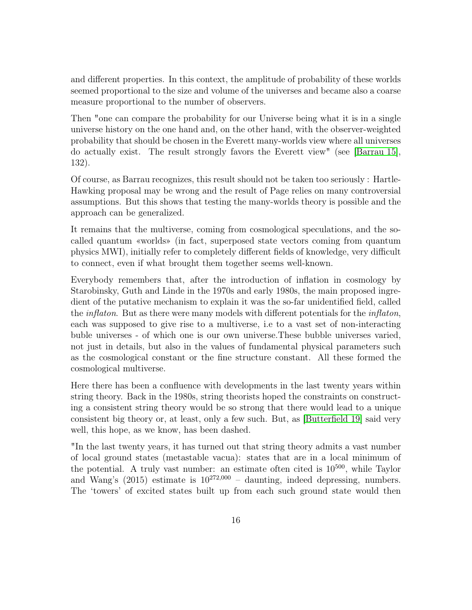and different properties. In this context, the amplitude of probability of these worlds seemed proportional to the size and volume of the universes and became also a coarse measure proportional to the number of observers.

Then "one can compare the probability for our Universe being what it is in a single universe history on the one hand and, on the other hand, with the observer-weighted probability that should be chosen in the Everett many-worlds view where all universes do actually exist. The result strongly favors the Everett view" (see [\[Barrau 15\]](#page-28-7), 132).

Of course, as Barrau recognizes, this result should not be taken too seriously : Hartle-Hawking proposal may be wrong and the result of Page relies on many controversial assumptions. But this shows that testing the many-worlds theory is possible and the approach can be generalized.

It remains that the multiverse, coming from cosmological speculations, and the socalled quantum «worlds» (in fact, superposed state vectors coming from quantum physics MWI), initially refer to completely different fields of knowledge, very difficult to connect, even if what brought them together seems well-known.

Everybody remembers that, after the introduction of inflation in cosmology by Starobinsky, Guth and Linde in the 1970s and early 1980s, the main proposed ingredient of the putative mechanism to explain it was the so-far unidentified field, called the *inflaton*. But as there were many models with different potentials for the *inflaton*, each was supposed to give rise to a multiverse, i.e to a vast set of non-interacting buble universes - of which one is our own universe.These bubble universes varied, not just in details, but also in the values of fundamental physical parameters such as the cosmological constant or the fine structure constant. All these formed the cosmological multiverse.

Here there has been a confluence with developments in the last twenty years within string theory. Back in the 1980s, string theorists hoped the constraints on constructing a consistent string theory would be so strong that there would lead to a unique consistent big theory or, at least, only a few such. But, as [\[Butterfield 19\]](#page-28-8) said very well, this hope, as we know, has been dashed.

"In the last twenty years, it has turned out that string theory admits a vast number of local ground states (metastable vacua): states that are in a local minimum of the potential. A truly vast number: an estimate often cited is  $10^{500}$ , while Taylor and Wang's  $(2015)$  estimate is  $10^{272,000}$  – daunting, indeed depressing, numbers. The 'towers' of excited states built up from each such ground state would then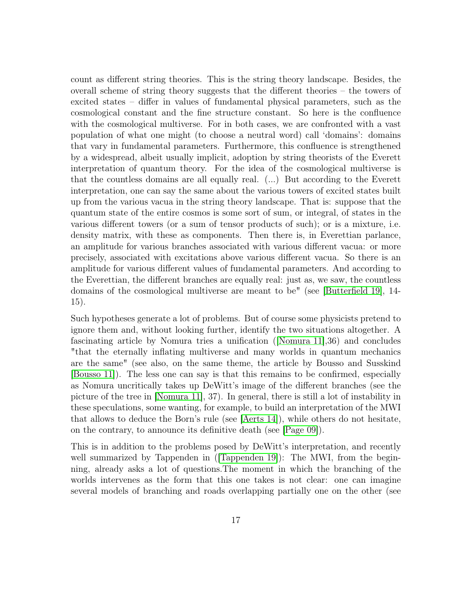count as different string theories. This is the string theory landscape. Besides, the overall scheme of string theory suggests that the different theories – the towers of excited states – differ in values of fundamental physical parameters, such as the cosmological constant and the fine structure constant. So here is the confluence with the cosmological multiverse. For in both cases, we are confronted with a vast population of what one might (to choose a neutral word) call 'domains': domains that vary in fundamental parameters. Furthermore, this confluence is strengthened by a widespread, albeit usually implicit, adoption by string theorists of the Everett interpretation of quantum theory. For the idea of the cosmological multiverse is that the countless domains are all equally real. (...) But according to the Everett interpretation, one can say the same about the various towers of excited states built up from the various vacua in the string theory landscape. That is: suppose that the quantum state of the entire cosmos is some sort of sum, or integral, of states in the various different towers (or a sum of tensor products of such); or is a mixture, i.e. density matrix, with these as components. Then there is, in Everettian parlance, an amplitude for various branches associated with various different vacua: or more precisely, associated with excitations above various different vacua. So there is an amplitude for various different values of fundamental parameters. And according to the Everettian, the different branches are equally real: just as, we saw, the countless domains of the cosmological multiverse are meant to be" (see [\[Butterfield 19\]](#page-28-8), 14- 15).

Such hypotheses generate a lot of problems. But of course some physicists pretend to ignore them and, without looking further, identify the two situations altogether. A fascinating article by Nomura tries a unification ([\[Nomura 11\]](#page-31-6),36) and concludes "that the eternally inflating multiverse and many worlds in quantum mechanics are the same" (see also, on the same theme, the article by Bousso and Susskind [\[Bousso 11\]](#page-28-9)). The less one can say is that this remains to be confirmed, especially as Nomura uncritically takes up DeWitt's image of the different branches (see the picture of the tree in [\[Nomura 11\]](#page-31-6), 37). In general, there is still a lot of instability in these speculations, some wanting, for example, to build an interpretation of the MWI that allows to deduce the Born's rule (see [\[Aerts 14\]](#page-27-3)), while others do not hesitate, on the contrary, to announce its definitive death (see [\[Page 09\]](#page-31-7)).

This is in addition to the problems posed by DeWitt's interpretation, and recently well summarized by Tappenden in (Tappenden 19): The MWI, from the beginning, already asks a lot of questions.The moment in which the branching of the worlds intervenes as the form that this one takes is not clear: one can imagine several models of branching and roads overlapping partially one on the other (see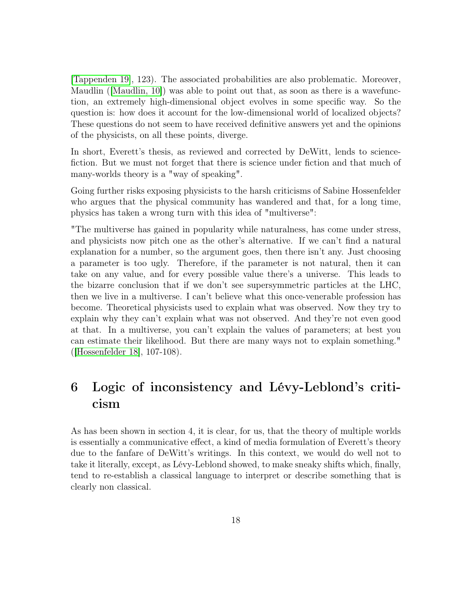[\[Tappenden 19\]](#page-31-8), 123). The associated probabilities are also problematic. Moreover, Maudlin ([\[Maudlin, 10\]](#page-30-9)) was able to point out that, as soon as there is a wavefunction, an extremely high-dimensional object evolves in some specific way. So the question is: how does it account for the low-dimensional world of localized objects? These questions do not seem to have received definitive answers yet and the opinions of the physicists, on all these points, diverge.

In short, Everett's thesis, as reviewed and corrected by DeWitt, lends to sciencefiction. But we must not forget that there is science under fiction and that much of many-worlds theory is a "way of speaking".

Going further risks exposing physicists to the harsh criticisms of Sabine Hossenfelder who argues that the physical community has wandered and that, for a long time, physics has taken a wrong turn with this idea of "multiverse":

"The multiverse has gained in popularity while naturalness, has come under stress, and physicists now pitch one as the other's alternative. If we can't find a natural explanation for a number, so the argument goes, then there isn't any. Just choosing a parameter is too ugly. Therefore, if the parameter is not natural, then it can take on any value, and for every possible value there's a universe. This leads to the bizarre conclusion that if we don't see supersymmetric particles at the LHC, then we live in a multiverse. I can't believe what this once-venerable profession has become. Theoretical physicists used to explain what was observed. Now they try to explain why they can't explain what was not observed. And they're not even good at that. In a multiverse, you can't explain the values of parameters; at best you can estimate their likelihood. But there are many ways not to explain something." ([\[Hossenfelder 18\]](#page-30-10), 107-108).

## 6 Logic of inconsistency and Lévy-Leblond's criticism

As has been shown in section 4, it is clear, for us, that the theory of multiple worlds is essentially a communicative effect, a kind of media formulation of Everett's theory due to the fanfare of DeWitt's writings. In this context, we would do well not to take it literally, except, as Lévy-Leblond showed, to make sneaky shifts which, finally, tend to re-establish a classical language to interpret or describe something that is clearly non classical.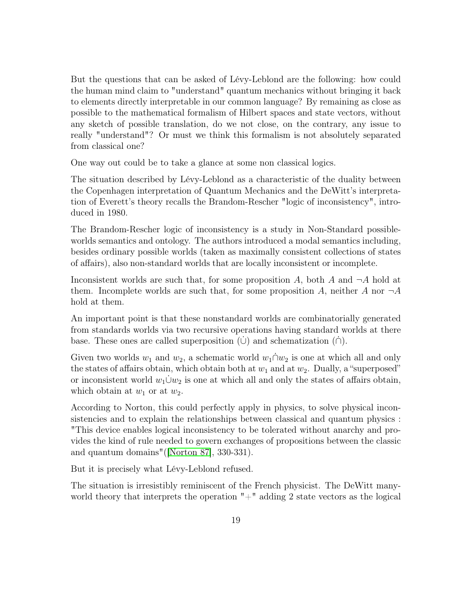But the questions that can be asked of Lévy-Leblond are the following: how could the human mind claim to "understand" quantum mechanics without bringing it back to elements directly interpretable in our common language? By remaining as close as possible to the mathematical formalism of Hilbert spaces and state vectors, without any sketch of possible translation, do we not close, on the contrary, any issue to really "understand"? Or must we think this formalism is not absolutely separated from classical one?

One way out could be to take a glance at some non classical logics.

The situation described by Lévy-Leblond as a characteristic of the duality between the Copenhagen interpretation of Quantum Mechanics and the DeWitt's interpretation of Everett's theory recalls the Brandom-Rescher "logic of inconsistency", introduced in 1980.

The Brandom-Rescher logic of inconsistency is a study in Non-Standard possibleworlds semantics and ontology. The authors introduced a modal semantics including, besides ordinary possible worlds (taken as maximally consistent collections of states of affairs), also non-standard worlds that are locally inconsistent or incomplete.

Inconsistent worlds are such that, for some proposition A, both A and  $\neg A$  hold at them. Incomplete worlds are such that, for some proposition A, neither A nor  $\neg A$ hold at them.

An important point is that these nonstandard worlds are combinatorially generated from standards worlds via two recursive operations having standard worlds at there base. These ones are called superposition  $(\cup)$  and schematization  $(\cap)$ .

Given two worlds  $w_1$  and  $w_2$ , a schematic world  $w_1 \cap w_2$  is one at which all and only the states of affairs obtain, which obtain both at  $w_1$  and at  $w_2$ . Dually, a "superposed" or inconsistent world  $w_1 \dot{\cup} w_2$  is one at which all and only the states of affairs obtain, which obtain at  $w_1$  or at  $w_2$ .

According to Norton, this could perfectly apply in physics, to solve physical inconsistencies and to explain the relationships between classical and quantum physics : "This device enables logical inconsistency to be tolerated without anarchy and provides the kind of rule needed to govern exchanges of propositions between the classic and quantum domains"([\[Norton 87\]](#page-31-9), 330-331).

But it is precisely what Lévy-Leblond refused.

The situation is irresistibly reminiscent of the French physicist. The DeWitt manyworld theory that interprets the operation "+" adding 2 state vectors as the logical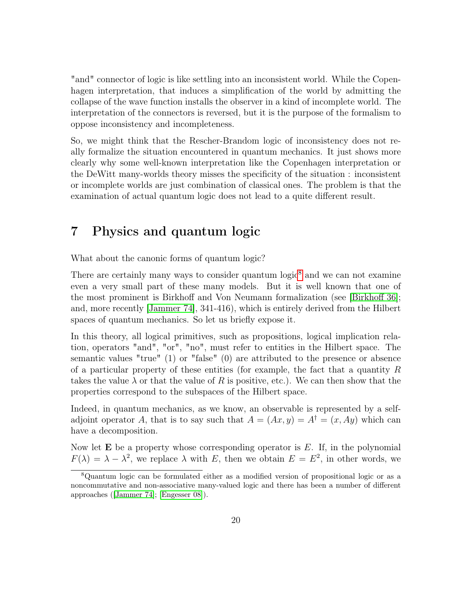"and" connector of logic is like settling into an inconsistent world. While the Copenhagen interpretation, that induces a simplification of the world by admitting the collapse of the wave function installs the observer in a kind of incomplete world. The interpretation of the connectors is reversed, but it is the purpose of the formalism to oppose inconsistency and incompleteness.

So, we might think that the Rescher-Brandom logic of inconsistency does not really formalize the situation encountered in quantum mechanics. It just shows more clearly why some well-known interpretation like the Copenhagen interpretation or the DeWitt many-worlds theory misses the specificity of the situation : inconsistent or incomplete worlds are just combination of classical ones. The problem is that the examination of actual quantum logic does not lead to a quite different result.

## 7 Physics and quantum logic

What about the canonic forms of quantum logic?

There are certainly many ways to consider quantum  $logic<sup>8</sup>$  $logic<sup>8</sup>$  $logic<sup>8</sup>$  and we can not examine even a very small part of these many models. But it is well known that one of the most prominent is Birkhoff and Von Neumann formalization (see [\[Birkhoff 36\]](#page-28-10); and, more recently [\[Jammer 74\]](#page-30-0), 341-416), which is entirely derived from the Hilbert spaces of quantum mechanics. So let us briefly expose it.

In this theory, all logical primitives, such as propositions, logical implication relation, operators "and", "or", "no", must refer to entities in the Hilbert space. The semantic values "true" (1) or "false" (0) are attributed to the presence or absence of a particular property of these entities (for example, the fact that a quantity  $R$ takes the value  $\lambda$  or that the value of R is positive, etc.). We can then show that the properties correspond to the subspaces of the Hilbert space.

Indeed, in quantum mechanics, as we know, an observable is represented by a selfadjoint operator A, that is to say such that  $A = (Ax, y) = A^{\dagger} = (x, Ay)$  which can have a decomposition.

Now let  $\bf{E}$  be a property whose corresponding operator is  $E$ . If, in the polynomial  $F(\lambda) = \lambda - \lambda^2$ , we replace  $\lambda$  with E, then we obtain  $E = E^2$ , in other words, we

<span id="page-19-0"></span><sup>8</sup>Quantum logic can be formulated either as a modified version of propositional logic or as a noncommutative and non-associative many-valued logic and there has been a number of different approaches ([\[Jammer 74\]](#page-30-0); [\[Engesser 08\]](#page-29-10)).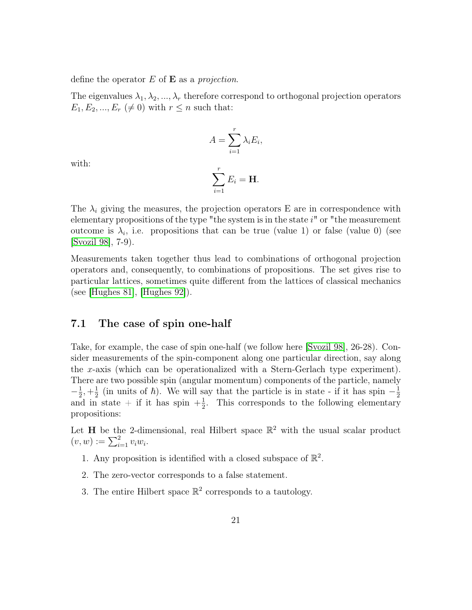define the operator  $E$  of  $\bf{E}$  as a projection.

The eigenvalues  $\lambda_1, \lambda_2, ..., \lambda_r$  therefore correspond to orthogonal projection operators  $E_1, E_2, ..., E_r \neq 0$  with  $r \leq n$  such that:

$$
A = \sum_{i=1}^{r} \lambda_i E_i,
$$

with:

$$
\sum_{i=1}^r E_i = \mathbf{H}.
$$

The  $\lambda_i$  giving the measures, the projection operators E are in correspondence with elementary propositions of the type "the system is in the state  $i$ " or "the measurement outcome is  $\lambda_i$ , i.e. propositions that can be true (value 1) or false (value 0) (see [\[Svozil 98\]](#page-31-10), 7-9).

Measurements taken together thus lead to combinations of orthogonal projection operators and, consequently, to combinations of propositions. The set gives rise to particular lattices, sometimes quite different from the lattices of classical mechanics (see [\[Hughes 81\]](#page-30-11), [\[Hughes 92\]](#page-30-12)).

#### 7.1 The case of spin one-half

Take, for example, the case of spin one-half (we follow here [\[Svozil 98\]](#page-31-10), 26-28). Consider measurements of the spin-component along one particular direction, say along the x-axis (which can be operationalized with a Stern-Gerlach type experiment). There are two possible spin (angular momentum) components of the particle, namely  $-\frac{1}{2}$  $\frac{1}{2}, +\frac{1}{2}$  $\frac{1}{2}$  (in units of  $\hbar$ ). We will say that the particle is in state - if it has spin  $-\frac{1}{2}$  $_2$ ,  $_2$  (in times of *h*). We win say that the particle is in state - if it has spin  $_2$ <br>and in state + if it has spin  $+\frac{1}{2}$ . This corresponds to the following elementary  $\frac{1}{2}$ . This corresponds to the following elementary propositions:

Let H be the 2-dimensional, real Hilbert space  $\mathbb{R}^2$  with the usual scalar product  $(v, w) := \sum_{i=1}^{2} v_i w_i.$ 

- 1. Any proposition is identified with a closed subspace of  $\mathbb{R}^2$ .
- 2. The zero-vector corresponds to a false statement.
- 3. The entire Hilbert space  $\mathbb{R}^2$  corresponds to a tautology.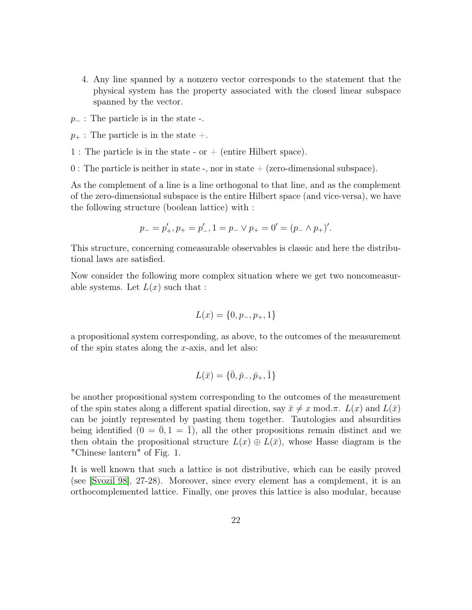- 4. Any line spanned by a nonzero vector corresponds to the statement that the physical system has the property associated with the closed linear subspace spanned by the vector.
- $p_$  : The particle is in the state -.
- $p_+$ : The particle is in the state  $+$ .
- 1 : The particle is in the state or  $+$  (entire Hilbert space).
- 0 : The particle is neither in state -, nor in state  $+$  (zero-dimensional subspace).

As the complement of a line is a line orthogonal to that line, and as the complement of the zero-dimensional subspace is the entire Hilbert space (and vice-versa), we have the following structure (boolean lattice) with :

$$
p_- = p'_+, p_+ = p'_-, 1 = p_- \vee p_+ = 0' = (p_- \wedge p_+)'.
$$

This structure, concerning comeasurable observables is classic and here the distributional laws are satisfied.

Now consider the following more complex situation where we get two noncomeasurable systems. Let  $L(x)$  such that :

$$
L(x) = \{0, p_-, p_+, 1\}
$$

a propositional system corresponding, as above, to the outcomes of the measurement of the spin states along the x-axis, and let also:

$$
L(\bar{x}) = \{\bar{0}, \bar{p}_-,\bar{p}_+, \bar{1}\}
$$

be another propositional system corresponding to the outcomes of the measurement of the spin states along a different spatial direction, say  $\bar{x} \neq x \mod \pi$ .  $L(x)$  and  $L(\bar{x})$ can be jointly represented by pasting them together. Tautologies and absurdities being identified  $(0 = 0, 1 = 1)$ , all the other propositions remain distinct and we then obtain the propositional structure  $L(x) \oplus L(\bar{x})$ , whose Hasse diagram is the "Chinese lantern" of Fig. 1.

It is well known that such a lattice is not distributive, which can be easily proved (see [\[Svozil 98\]](#page-31-10), 27-28). Moreover, since every element has a complement, it is an orthocomplemented lattice. Finally, one proves this lattice is also modular, because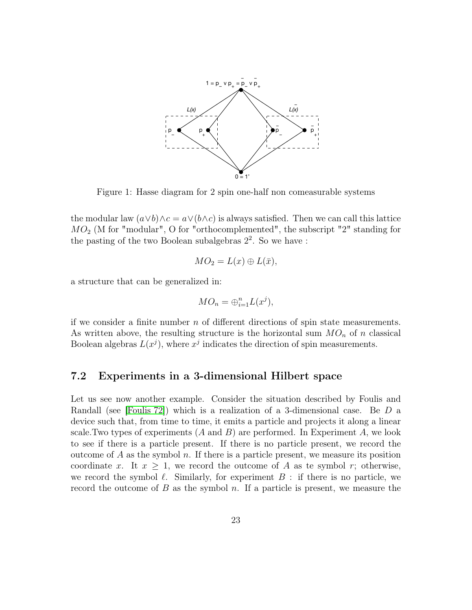

Figure 1: Hasse diagram for 2 spin one-half non comeasurable systems

the modular law  $(a \vee b) \wedge c = a \vee (b \wedge c)$  is always satisfied. Then we can call this lattice  $MO<sub>2</sub>$  (M for "modular", O for "orthocomplemented", the subscript "2" standing for the pasting of the two Boolean subalgebras 2 2 . So we have :

$$
MO_2 = L(x) \oplus L(\bar{x}),
$$

a structure that can be generalized in:

$$
MO_n = \bigoplus_{i=1}^n L(x^j),
$$

if we consider a finite number  $n$  of different directions of spin state measurements. As written above, the resulting structure is the horizontal sum  $MO_n$  of n classical Boolean algebras  $L(x^j)$ , where  $x^j$  indicates the direction of spin measurements.

### 7.2 Experiments in a 3-dimensional Hilbert space

Let us see now another example. Consider the situation described by Foulis and Randall (see [\[Foulis 72\]](#page-29-11)) which is a realization of a 3-dimensional case. Be D a device such that, from time to time, it emits a particle and projects it along a linear scale. Two types of experiments  $(A \text{ and } B)$  are performed. In Experiment  $A$ , we look to see if there is a particle present. If there is no particle present, we record the outcome of A as the symbol n. If there is a particle present, we measure its position coordinate x. It  $x \geq 1$ , we record the outcome of A as te symbol r; otherwise, we record the symbol  $\ell$ . Similarly, for experiment  $B$ : if there is no particle, we record the outcome of  $B$  as the symbol  $n$ . If a particle is present, we measure the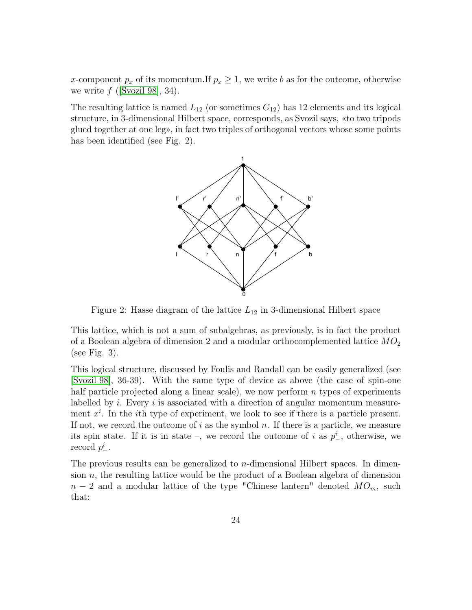x-component  $p_x$  of its momentum.If  $p_x \geq 1$ , we write b as for the outcome, otherwise we write  $f$  ([\[Svozil 98\]](#page-31-10), 34).

The resulting lattice is named  $L_{12}$  (or sometimes  $G_{12}$ ) has 12 elements and its logical structure, in 3-dimensional Hilbert space, corresponds, as Svozil says, «to two tripods glued together at one leg», in fact two triples of orthogonal vectors whose some points has been identified (see Fig. 2).



Figure 2: Hasse diagram of the lattice  $L_{12}$  in 3-dimensional Hilbert space

This lattice, which is not a sum of subalgebras, as previously, is in fact the product of a Boolean algebra of dimension 2 and a modular orthocomplemented lattice  $MO_2$ (see Fig. 3).

This logical structure, discussed by Foulis and Randall can be easily generalized (see [\[Svozil 98\]](#page-31-10), 36-39). With the same type of device as above (the case of spin-one half particle projected along a linear scale), we now perform  $n$  types of experiments labelled by  $i$ . Every  $i$  is associated with a direction of angular momentum measurement  $x^i$ . In the *i*th type of experiment, we look to see if there is a particle present. If not, we record the outcome of i as the symbol n. If there is a particle, we measure its spin state. If it is in state –, we record the outcome of i as  $p_{-}^{i}$ , otherwise, we record  $p^i_{-}$ .

The previous results can be generalized to  $n$ -dimensional Hilbert spaces. In dimension  $n$ , the resulting lattice would be the product of a Boolean algebra of dimension  $n-2$  and a modular lattice of the type "Chinese lantern" denoted  $MO_m$ , such that: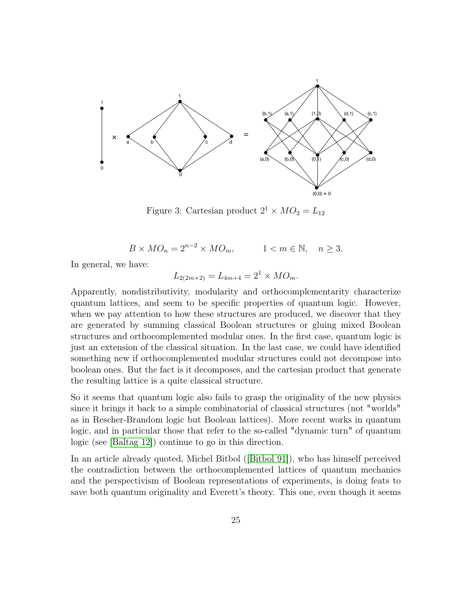

Figure 3: Cartesian product  $2^1 \times MO_2 = L_{12}$ 

 $B \times MO_n = 2^{n-2} \times MO_m,$   $1 < m \in \mathbb{N}, n \geq 3.$ 

In general, we have:

$$
L_{2(2m+2)} = L_{4m+4} = 2^1 \times MO_m.
$$

Apparently, nondistributivity, modularity and orthocomplementarity characterize quantum lattices, and seem to be specific properties of quantum logic. However, when we pay attention to how these structures are produced, we discover that they are generated by summing classical Boolean structures or gluing mixed Boolean structures and orthocomplemented modular ones. In the first case, quantum logic is just an extension of the classical situation. In the last case, we could have identified something new if orthocomplemented modular structures could not decompose into boolean ones. But the fact is it decomposes, and the cartesian product that generate the resulting lattice is a quite classical structure.

So it seems that quantum logic also fails to grasp the originality of the new physics since it brings it back to a simple combinatorial of classical structures (not "worlds" as in Rescher-Brandom logic but Boolean lattices). More recent works in quantum logic, and in particular those that refer to the so-called "dynamic turn" of quantum logic (see [\[Baltag 12\]](#page-28-11)) continue to go in this direction.

In an article already quoted, Michel Bitbol ([\[Bitbol 91\]](#page-28-0)), who has himself perceived the contradiction between the orthocomplemented lattices of quantum mechanics and the perspectivism of Boolean representations of experiments, is doing feats to save both quantum originality and Everett's theory. This one, even though it seems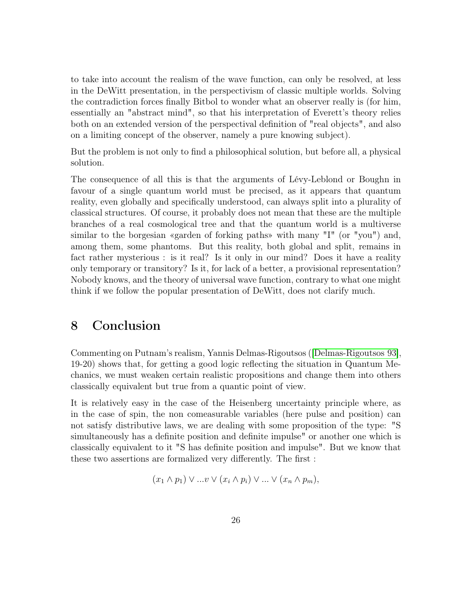to take into account the realism of the wave function, can only be resolved, at less in the DeWitt presentation, in the perspectivism of classic multiple worlds. Solving the contradiction forces finally Bitbol to wonder what an observer really is (for him, essentially an "abstract mind", so that his interpretation of Everett's theory relies both on an extended version of the perspectival definition of "real objects", and also on a limiting concept of the observer, namely a pure knowing subject).

But the problem is not only to find a philosophical solution, but before all, a physical solution.

The consequence of all this is that the arguments of Lévy-Leblond or Boughn in favour of a single quantum world must be precised, as it appears that quantum reality, even globally and specifically understood, can always split into a plurality of classical structures. Of course, it probably does not mean that these are the multiple branches of a real cosmological tree and that the quantum world is a multiverse similar to the borgesian «garden of forking paths» with many "I" (or "you") and, among them, some phantoms. But this reality, both global and split, remains in fact rather mysterious : is it real? Is it only in our mind? Does it have a reality only temporary or transitory? Is it, for lack of a better, a provisional representation? Nobody knows, and the theory of universal wave function, contrary to what one might think if we follow the popular presentation of DeWitt, does not clarify much.

## 8 Conclusion

Commenting on Putnam's realism, Yannis Delmas-Rigoutsos ([\[Delmas-Rigoutsos 93\]](#page-29-12), 19-20) shows that, for getting a good logic reflecting the situation in Quantum Mechanics, we must weaken certain realistic propositions and change them into others classically equivalent but true from a quantic point of view.

It is relatively easy in the case of the Heisenberg uncertainty principle where, as in the case of spin, the non comeasurable variables (here pulse and position) can not satisfy distributive laws, we are dealing with some proposition of the type: "S simultaneously has a definite position and definite impulse" or another one which is classically equivalent to it "S has definite position and impulse". But we know that these two assertions are formalized very differently. The first :

$$
(x_1 \wedge p_1) \vee ... \vee (x_i \wedge p_i) \vee ... \vee (x_n \wedge p_m),
$$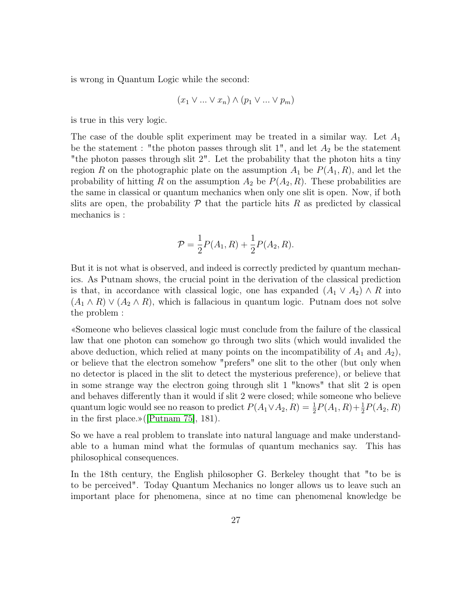is wrong in Quantum Logic while the second:

$$
(x_1 \vee \ldots \vee x_n) \wedge (p_1 \vee \ldots \vee p_m)
$$

is true in this very logic.

The case of the double split experiment may be treated in a similar way. Let  $A_1$ be the statement : "the photon passes through slit  $1$ ", and let  $A_2$  be the statement "the photon passes through slit 2". Let the probability that the photon hits a tiny region R on the photographic plate on the assumption  $A_1$  be  $P(A_1, R)$ , and let the probability of hitting R on the assumption  $A_2$  be  $P(A_2, R)$ . These probabilities are the same in classical or quantum mechanics when only one slit is open. Now, if both slits are open, the probability  $\mathcal P$  that the particle hits R as predicted by classical mechanics is :

$$
\mathcal{P} = \frac{1}{2}P(A_1, R) + \frac{1}{2}P(A_2, R).
$$

But it is not what is observed, and indeed is correctly predicted by quantum mechanics. As Putnam shows, the crucial point in the derivation of the classical prediction is that, in accordance with classical logic, one has expanded  $(A_1 \vee A_2) \wedge R$  into  $(A_1 \wedge R) \vee (A_2 \wedge R)$ , which is fallacious in quantum logic. Putnam does not solve the problem :

«Someone who believes classical logic must conclude from the failure of the classical law that one photon can somehow go through two slits (which would invalided the above deduction, which relied at many points on the incompatibility of  $A_1$  and  $A_2$ ), or believe that the electron somehow "prefers" one slit to the other (but only when no detector is placed in the slit to detect the mysterious preference), or believe that in some strange way the electron going through slit 1 "knows" that slit 2 is open and behaves differently than it would if slit 2 were closed; while someone who believe quantum logic would see no reason to predict  $P(A_1 \vee A_2, R) = \frac{1}{2}P(A_1, R) + \frac{1}{2}P(A_2, R)$ in the first place.»([\[Putnam 75\]](#page-31-11), 181).

So we have a real problem to translate into natural language and make understandable to a human mind what the formulas of quantum mechanics say. This has philosophical consequences.

In the 18th century, the English philosopher G. Berkeley thought that "to be is to be perceived". Today Quantum Mechanics no longer allows us to leave such an important place for phenomena, since at no time can phenomenal knowledge be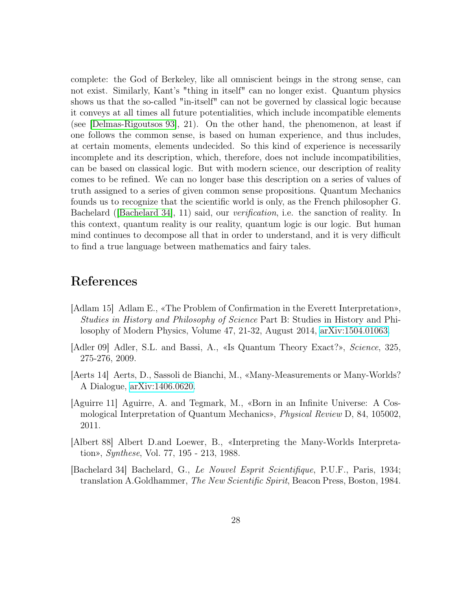complete: the God of Berkeley, like all omniscient beings in the strong sense, can not exist. Similarly, Kant's "thing in itself" can no longer exist. Quantum physics shows us that the so-called "in-itself" can not be governed by classical logic because it conveys at all times all future potentialities, which include incompatible elements (see [\[Delmas-Rigoutsos 93\]](#page-29-12), 21). On the other hand, the phenomenon, at least if one follows the common sense, is based on human experience, and thus includes, at certain moments, elements undecided. So this kind of experience is necessarily incomplete and its description, which, therefore, does not include incompatibilities, can be based on classical logic. But with modern science, our description of reality comes to be refined. We can no longer base this description on a series of values of truth assigned to a series of given common sense propositions. Quantum Mechanics founds us to recognize that the scientific world is only, as the French philosopher G. Bachelard ([\[Bachelard 34\]](#page-27-4), 11) said, our verification, i.e. the sanction of reality. In this context, quantum reality is our reality, quantum logic is our logic. But human mind continues to decompose all that in order to understand, and it is very difficult to find a true language between mathematics and fairy tales.

## References

- <span id="page-27-0"></span>[Adlam 15] Adlam E., «The Problem of Confirmation in the Everett Interpretation», Studies in History and Philosophy of Science Part B: Studies in History and Philosophy of Modern Physics, Volume 47, 21-32, August 2014, [arXiv:1504.01063.](http://arxiv.org/abs/1504.01063)
- [Adler 09] Adler, S.L. and Bassi, A., «Is Quantum Theory Exact?», Science, 325, 275-276, 2009.
- <span id="page-27-3"></span>[Aerts 14] Aerts, D., Sassoli de Bianchi, M., «Many-Measurements or Many-Worlds? A Dialogue, [arXiv:1406.0620.](http://arxiv.org/abs/1406.0620)
- <span id="page-27-2"></span>[Aguirre 11] Aguirre, A. and Tegmark, M., «Born in an Infinite Universe: A Cosmological Interpretation of Quantum Mechanics», Physical Review D, 84, 105002, 2011.
- <span id="page-27-1"></span>[Albert 88] Albert D.and Loewer, B., «Interpreting the Many-Worlds Interpretation», Synthese, Vol. 77, 195 - 213, 1988.
- <span id="page-27-4"></span>[Bachelard 34] Bachelard, G., Le Nouvel Esprit Scientifique, P.U.F., Paris, 1934; translation A.Goldhammer, The New Scientific Spirit, Beacon Press, Boston, 1984.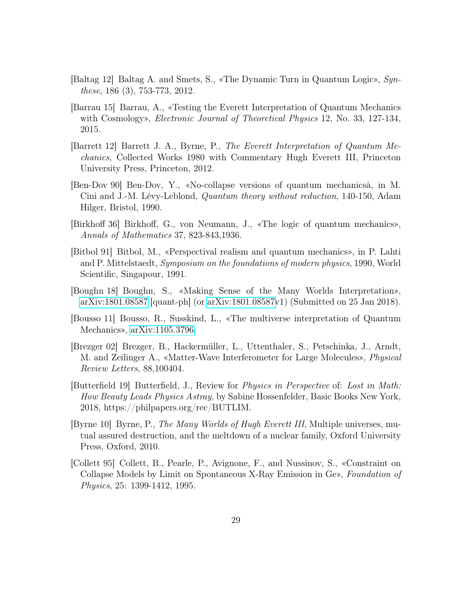- <span id="page-28-11"></span>[Baltag 12] Baltag A. and Smets, S., «The Dynamic Turn in Quantum Logic», Synthese, 186 (3), 753-773, 2012.
- <span id="page-28-7"></span>[Barrau 15] Barrau, A., «Testing the Everett Interpretation of Quantum Mechanics with Cosmology», *Electronic Journal of Theoretical Physics* 12, No. 33, 127-134, 2015.
- <span id="page-28-2"></span>[Barrett 12] Barrett J. A., Byrne, P., The Everett Interpretation of Quantum Mechanics, Collected Works 1980 with Commentary Hugh Everett III, Princeton University Press, Princeton, 2012.
- <span id="page-28-3"></span>[Ben-Dov 90] Ben-Dov, Y., «No-collapse versions of quantum mechanicså, in M. Cini and J.-M. Lévy-Leblond, Quantum theory without reduction, 140-150, Adam Hilger, Bristol, 1990.
- <span id="page-28-10"></span>[Birkhoff 36] Birkhoff, G., von Neumann, J., «The logic of quantum mechanics», Annals of Mathematics 37, 823-843,1936.
- <span id="page-28-0"></span>[Bitbol 91] Bitbol, M., «Perspectival realism and quantum mechanics», in P. Lahti and P. Mittelstaedt, Symposium on the foundations of modern physics, 1990, World Scientific, Singapour, 1991.
- <span id="page-28-4"></span>[Boughn 18] Boughn, S., «Making Sense of the Many Worlds Interpretation», [arXiv:1801.08587](http://arxiv.org/abs/1801.08587) [quant-ph] (or [arXiv:1801.08587v](http://arxiv.org/abs/1801.08587)1) (Submitted on 25 Jan 2018).
- <span id="page-28-9"></span>[Bousso 11] Bousso, R., Susskind, L., «The multiverse interpretation of Quantum Mechanics», [arXiv:1105.3796.](http://arxiv.org/abs/1105.3796)
- <span id="page-28-5"></span>[Brezger 02] Brezger, B., Hackermüller, L., Uttenthaler, S., Petschinka, J., Arndt, M. and Zeilinger A., «Matter-Wave Interferometer for Large Molecules», Physical Review Letters, 88,100404.
- <span id="page-28-8"></span>[Butterfield 19] Butterfield, J., Review for Physics in Perspective of: Lost in Math: How Beauty Leads Physics Astray, by Sabine Hossenfelder, Basic Books New York, 2018, https://philpapers.org/rec/BUTLIM.
- <span id="page-28-1"></span>[Byrne 10] Byrne, P., The Many Worlds of Hugh Everett III, Multiple universes, mutual assured destruction, and the meltdown of a nuclear family, Oxford University Press, Oxford, 2010.
- <span id="page-28-6"></span>[Collett 95] Collett, B., Pearle, P., Avignone, F., and Nussinov, S., «Constraint on Collapse Models by Limit on Spontaneous X-Ray Emission in Ge», Foundation of Physics, 25: 1399-1412, 1995.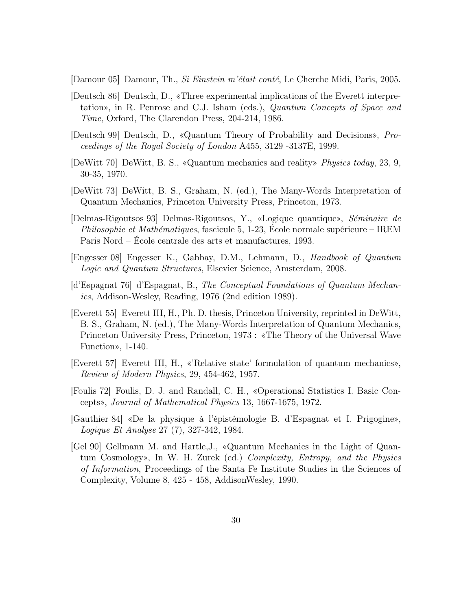<span id="page-29-7"></span>[Damour 05] Damour, Th., Si Einstein m'était conté, Le Cherche Midi, Paris, 2005.

- <span id="page-29-3"></span>[Deutsch 86] Deutsch, D., «Three experimental implications of the Everett interpretation», in R. Penrose and C.J. Isham (eds.), Quantum Concepts of Space and Time, Oxford, The Clarendon Press, 204-214, 1986.
- <span id="page-29-4"></span>[Deutsch 99] Deutsch, D., «Quantum Theory of Probability and Decisions», Proceedings of the Royal Society of London A455, 3129 -3137E, 1999.
- <span id="page-29-0"></span>[DeWitt 70] DeWitt, B. S., «Quantum mechanics and reality» Physics today, 23, 9, 30-35, 1970.
- <span id="page-29-1"></span>[DeWitt 73] DeWitt, B. S., Graham, N. (ed.), The Many-Words Interpretation of Quantum Mechanics, Princeton University Press, Princeton, 1973.
- <span id="page-29-12"></span>[Delmas-Rigoutsos 93] Delmas-Rigoutsos, Y., «Logique quantique», Séminaire de Philosophie et Mathématiques, fascicule 5, 1-23, École normale supérieure – IREM Paris Nord – École centrale des arts et manufactures, 1993.
- <span id="page-29-10"></span>[Engesser 08] Engesser K., Gabbay, D.M., Lehmann, D., Handbook of Quantum Logic and Quantum Structures, Elsevier Science, Amsterdam, 2008.
- <span id="page-29-8"></span>[d'Espagnat 76] d'Espagnat, B., The Conceptual Foundations of Quantum Mechanics, Addison-Wesley, Reading, 1976 (2nd edition 1989).
- <span id="page-29-6"></span>[Everett 55] Everett III, H., Ph. D. thesis, Princeton University, reprinted in DeWitt, B. S., Graham, N. (ed.), The Many-Words Interpretation of Quantum Mechanics, Princeton University Press, Princeton, 1973 : «The Theory of the Universal Wave Function», 1-140.
- <span id="page-29-5"></span>[Everett 57] Everett III, H., «'Relative state' formulation of quantum mechanics», Review of Modern Physics, 29, 454-462, 1957.
- <span id="page-29-11"></span>[Foulis 72] Foulis, D. J. and Randall, C. H., «Operational Statistics I. Basic Concepts», Journal of Mathematical Physics 13, 1667-1675, 1972.
- <span id="page-29-9"></span>[Gauthier 84] «De la physique à l'épistémologie B. d'Espagnat et I. Prigogine», Logique Et Analyse 27 (7), 327-342, 1984.
- <span id="page-29-2"></span>[Gel 90] Gellmann M. and Hartle,J., «Quantum Mechanics in the Light of Quantum Cosmology», In W. H. Zurek (ed.) Complexity, Entropy, and the Physics of Information, Proceedings of the Santa Fe Institute Studies in the Sciences of Complexity, Volume 8, 425 - 458, AddisonWesley, 1990.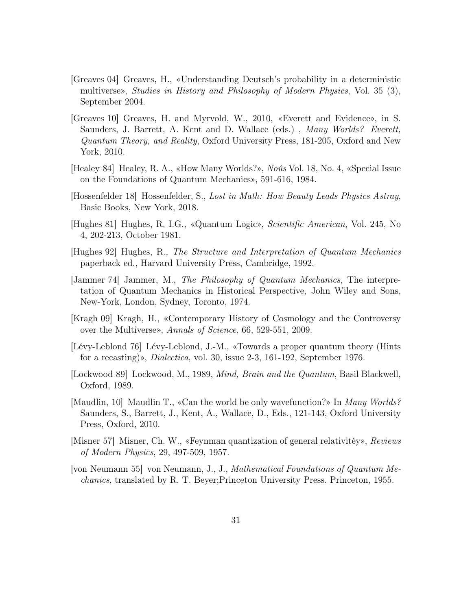- <span id="page-30-2"></span>[Greaves 04] Greaves, H., «Understanding Deutsch's probability in a deterministic multiverse», Studies in History and Philosophy of Modern Physics, Vol. 35 (3), September 2004.
- <span id="page-30-7"></span>[Greaves 10] Greaves, H. and Myrvold, W., 2010, «Everett and Evidence», in S. Saunders, J. Barrett, A. Kent and D. Wallace (eds.), Many Worlds? Everett, Quantum Theory, and Reality, Oxford University Press, 181-205, Oxford and New York, 2010.
- <span id="page-30-5"></span>[Healey 84] Healey, R. A., «How Many Worlds?», Noûs Vol. 18, No. 4, «Special Issue on the Foundations of Quantum Mechanics», 591-616, 1984.
- <span id="page-30-10"></span>[Hossenfelder 18] Hossenfelder, S., Lost in Math: How Beauty Leads Physics Astray, Basic Books, New York, 2018.
- <span id="page-30-11"></span>[Hughes 81] Hughes, R. I.G., «Quantum Logic», Scientific American, Vol. 245, No 4, 202-213, October 1981.
- <span id="page-30-12"></span>[Hughes 92] Hughes, R., The Structure and Interpretation of Quantum Mechanics paperback ed., Harvard University Press, Cambridge, 1992.
- <span id="page-30-0"></span>[Jammer 74] Jammer, M., The Philosophy of Quantum Mechanics, The interpretation of Quantum Mechanics in Historical Perspective, John Wiley and Sons, New-York, London, Sydney, Toronto, 1974.
- <span id="page-30-8"></span>[Kragh 09] Kragh, H., «Contemporary History of Cosmology and the Controversy over the Multiverse», Annals of Science, 66, 529-551, 2009.
- <span id="page-30-4"></span>[Lévy-Leblond 76] Lévy-Leblond, J.-M., «Towards a proper quantum theory (Hints for a recasting)», *Dialectica*, vol. 30, issue 2-3, 161-192, September 1976.
- <span id="page-30-6"></span>[Lockwood 89] Lockwood, M., 1989, Mind, Brain and the Quantum, Basil Blackwell, Oxford, 1989.
- <span id="page-30-9"></span>[Maudlin, 10] Maudlin T., «Can the world be only wavefunction?» In Many Worlds? Saunders, S., Barrett, J., Kent, A., Wallace, D., Eds., 121-143, Oxford University Press, Oxford, 2010.
- <span id="page-30-1"></span>[Misner 57] Misner, Ch. W., «Feynman quantization of general relativitéy», Reviews of Modern Physics, 29, 497-509, 1957.
- <span id="page-30-3"></span>[von Neumann 55] von Neumann, J., J., Mathematical Foundations of Quantum Mechanics, translated by R. T. Beyer;Princeton University Press. Princeton, 1955.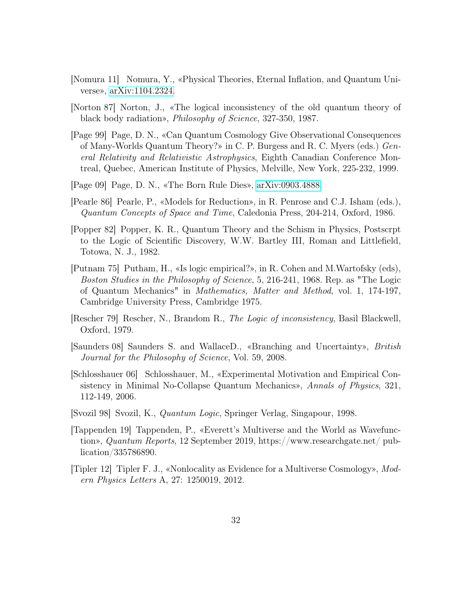- <span id="page-31-6"></span>[Nomura 11] Nomura, Y., «Physical Theories, Eternal Inflation, and Quantum Universe», [arXiv:1104.2324.](http://arxiv.org/abs/1104.2324)
- <span id="page-31-9"></span>[Norton 87] Norton, J., «The logical inconsistency of the old quantum theory of black body radiation», Philosophy of Science, 327-350, 1987.
- <span id="page-31-4"></span>[Page 99] Page, D. N., «Can Quantum Cosmology Give Observational Consequences of Many-Worlds Quantum Theory?» in C. P. Burgess and R. C. Myers (eds.) General Relativity and Relativistic Astrophysics, Eighth Canadian Conference Montreal, Quebec, American Institute of Physics, Melville, New York, 225-232, 1999.
- <span id="page-31-7"></span>[Page 09] Page, D. N., «The Born Rule Dies», [arXiv:0903.4888.](http://arxiv.org/abs/0903.4888)
- <span id="page-31-3"></span>[Pearle 86] Pearle, P., «Models for Reduction», in R. Penrose and C.J. Isham (eds.), Quantum Concepts of Space and Time, Caledonia Press, 204-214, Oxford, 1986.
- <span id="page-31-1"></span>[Popper 82] Popper, K. R., Quantum Theory and the Schism in Physics, Postscrpt to the Logic of Scientific Discovery, W.W. Bartley III, Roman and Littlefield, Totowa, N. J., 1982.
- <span id="page-31-11"></span>[Putnam 75] Putham, H., «Is logic empirical?», in R. Cohen and M.Wartofsky (eds), Boston Studies in the Philosophy of Science, 5, 216-241, 1968. Rep. as "The Logic of Quantum Mechanics" in Mathematics, Matter and Method, vol. 1, 174-197, Cambridge University Press, Cambridge 1975.
- [Rescher 79] Rescher, N., Brandom R., The Logic of inconsistency, Basil Blackwell, Oxford, 1979.
- <span id="page-31-0"></span>[Saunders 08] Saunders S. and WallaceD., «Branching and Uncertainty», British Journal for the Philosophy of Science, Vol. 59, 2008.
- <span id="page-31-2"></span>[Schlosshauer 06] Schlosshauer, M., «Experimental Motivation and Empirical Consistency in Minimal No-Collapse Quantum Mechanics», Annals of Physics, 321, 112-149, 2006.
- <span id="page-31-10"></span>[Svozil 98] Svozil, K., Quantum Logic, Springer Verlag, Singapour, 1998.
- <span id="page-31-8"></span>[Tappenden 19] Tappenden, P., «Everett's Multiverse and the World as Wavefunction», Quantum Reports, 12 September 2019, https://www.researchgate.net/ publication/335786890.
- <span id="page-31-5"></span>[Tipler 12] Tipler F. J., «Nonlocality as Evidence for a Multiverse Cosmology», Modern Physics Letters A, 27: 1250019, 2012.